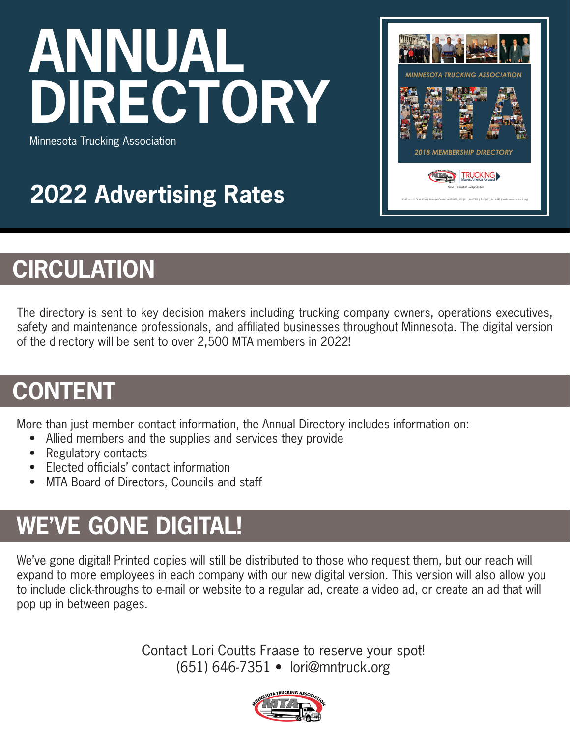# **ANNUAL DIRECTORY**



Minnesota Trucking Association

### **2022 Advertising Rates**

#### **CIRCULATION**

The directory is sent to key decision makers including trucking company owners, operations executives, safety and maintenance professionals, and affiliated businesses throughout Minnesota. The digital version of the directory will be sent to over 2,500 MTA members in 2022!

#### **CONTENT**

More than just member contact information, the Annual Directory includes information on:

- Allied members and the supplies and services they provide
- Regulatory contacts
- Elected officials' contact information
- MTA Board of Directors, Councils and staff

#### **WE'VE GONE DIGITAL!**

We've gone digital! Printed copies will still be distributed to those who request them, but our reach will expand to more employees in each company with our new digital version. This version will also allow you to include click-throughs to e-mail or website to a regular ad, create a video ad, or create an ad that will pop up in between pages.

> Contact Lori Coutts Fraase to reserve your spot! (651) 646-7351 • lori@mntruck.org